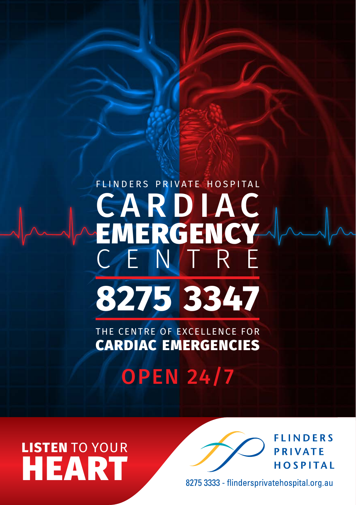# flinders private hospital CARDIAC **EMERGENCY** R E **8275 3347**

The Centre of Excellence for Cardiac Emergencies

**OPEN 24/7** 

**listen** to your **HEART** 



8275 3333 - flindersprivatehospital.org.au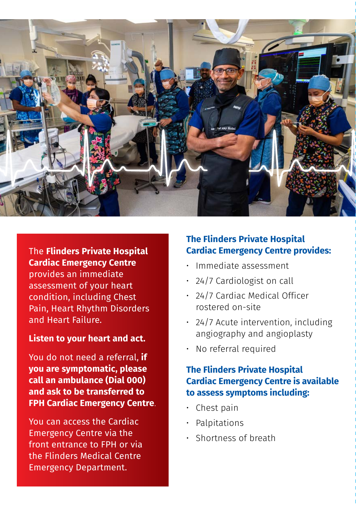

The **Flinders Private Hospital Cardiac Emergency Centre** provides an immediate assessment of your heart condition, including Chest Pain, Heart Rhythm Disorders and Heart Failure.

#### **Listen to your heart and act.**

You do not need a referral, **if you are symptomatic, please call an ambulance (Dial 000) and ask to be transferred to FPH Cardiac Emergency Centre**.

You can access the Cardiac Emergency Centre via the front entrance to FPH or via the Flinders Medical Centre Emergency Department.

### **The Flinders Private Hospital Cardiac Emergency Centre provides:**

- Immediate assessment
- • 24/7 Cardiologist on call
- • 24/7 Cardiac Medical Officer rostered on-site
- 24/7 Acute intervention, including angiography and angioplasty
- No referral required

### **The Flinders Private Hospital Cardiac Emergency Centre is available to assess symptoms including:**

- $\cdot$  Chest pain
- **Palpitations**
- Shortness of breath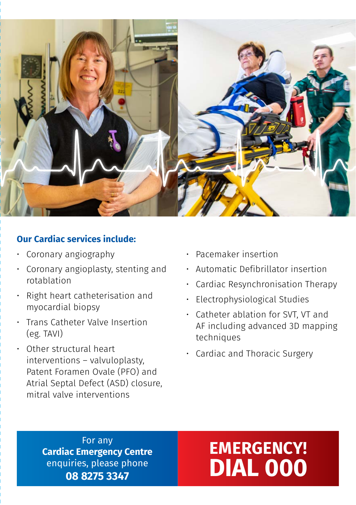

### **Our Cardiac services include:**

- • Coronary angiography
- • Coronary angioplasty, stenting and rotablation
- • Right heart catheterisation and myocardial biopsy
- • Trans Catheter Valve Insertion (eg. TAVI)
- • Other structural heart interventions – valvuloplasty, Patent Foramen Ovale (PFO) and Atrial Septal Defect (ASD) closure, mitral valve interventions
- • Pacemaker insertion
- • Automatic Defibrillator insertion
- • Cardiac Resynchronisation Therapy
- Electrophysiological Studies
- • Catheter ablation for SVT, VT and AF including advanced 3D mapping techniques
- • Cardiac and Thoracic Surgery

For any **Cardiac Emergency Centre** enquiries, please phone **08 8275 3347**

### **Emergency! DIAL 000**